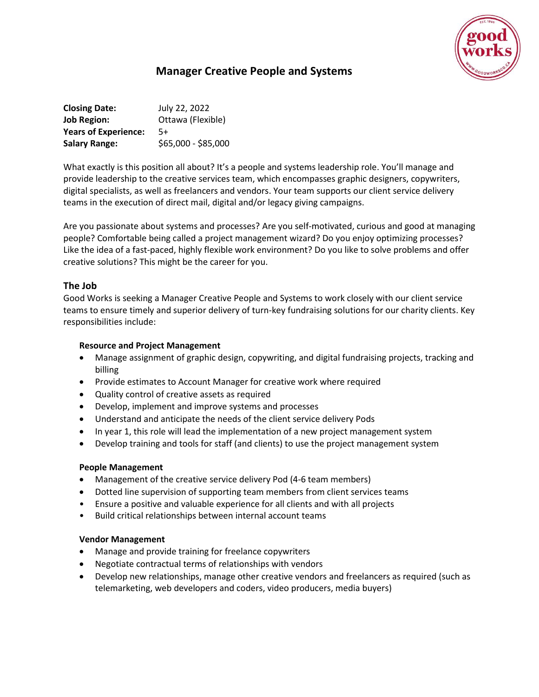

# **Manager Creative People and Systems**

**Closing Date:** July 22, 2022 **Job Region:** Ottawa (Flexible) **Years of Experience:** 5+ **Salary Range:** \$65,000 - \$85,000

What exactly is this position all about? It's a people and systems leadership role. You'll manage and provide leadership to the creative services team, which encompasses graphic designers, copywriters, digital specialists, as well as freelancers and vendors. Your team supports our client service delivery teams in the execution of direct mail, digital and/or legacy giving campaigns.

Are you passionate about systems and processes? Are you self-motivated, curious and good at managing people? Comfortable being called a project management wizard? Do you enjoy optimizing processes? Like the idea of a fast-paced, highly flexible work environment? Do you like to solve problems and offer creative solutions? This might be the career for you.

### **The Job**

Good Works is seeking a Manager Creative People and Systems to work closely with our client service teams to ensure timely and superior delivery of turn-key fundraising solutions for our charity clients. Key responsibilities include:

#### **Resource and Project Management**

- Manage assignment of graphic design, copywriting, and digital fundraising projects, tracking and billing
- Provide estimates to Account Manager for creative work where required
- Quality control of creative assets as required
- Develop, implement and improve systems and processes
- Understand and anticipate the needs of the client service delivery Pods
- In year 1, this role will lead the implementation of a new project management system
- Develop training and tools for staff (and clients) to use the project management system

#### **People Management**

- Management of the creative service delivery Pod (4-6 team members)
- Dotted line supervision of supporting team members from client services teams
- Ensure a positive and valuable experience for all clients and with all projects
- Build critical relationships between internal account teams

#### **Vendor Management**

- Manage and provide training for freelance copywriters
- Negotiate contractual terms of relationships with vendors
- Develop new relationships, manage other creative vendors and freelancers as required (such as telemarketing, web developers and coders, video producers, media buyers)